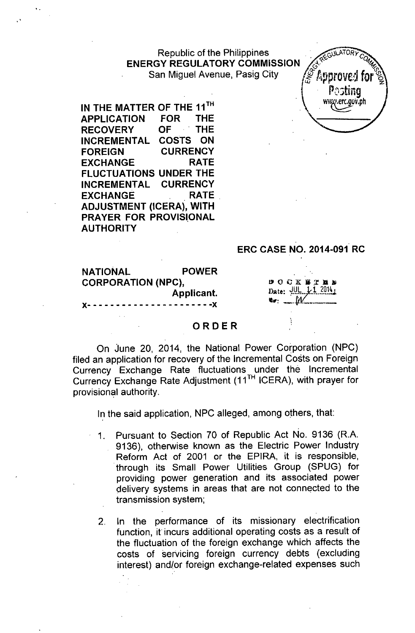Republic of the Philippines **ACCULATORY ENERGY REGULATORY COMMISSION** San Miguel Avenue, Pasig City / Approved for



IN THE MATTER OF THE 11<sup>TH</sup>  $\left\{ \begin{array}{cc} \text{WW/}.\text{er. gov. ph} \end{array} \right.$ APPLICATION FOR THE RECOVERY OF THE INCREMENTAL COSTS ON FOREIGN CURRENCY EXCHANGE RATE FLUCTUATIONS UNDER THE INCREMENTAL CURRENCY EXCHANGE RATE ADJUSTMENT (ICERA), WITH PRAYER FOR PROVISIONAL AUTHORITY

## ERC CASE NO. 2014-091 RC

| <b>NATIONAL</b>                   | <b>POWER</b> |                    |
|-----------------------------------|--------------|--------------------|
| <b>CORPORATION (NPC),</b>         |              | DOCKETER           |
|                                   | Applicant.   | Date: $U L I 2014$ |
| X--------------------- <b>-</b> X |              |                    |

#### ORDER

On June 20, 2014, the National Power Corporation (NPC) filed an application for recovery of the Incremental Costs on Foreign Currency Exchange Rate fluctuations under the Incremental Currency Exchange Rate Adjustment (11<sup>TH</sup> ICERA), with prayer for provisional authority.

In the said application, NPC alleged, among others, that:

- 1. Pursuant to Section 70 of Republic Act No. 9136 (R.A. 9136), otherwise known as the Electric Power Industry Reform Act of 2001 or the EPIRA, it is responsible, .through its Small Power Utilities Group (SPUG) for providing power generation and its associated power delivery systems in areas that are not connected to the transmission system;
- 2. In the performance of its missionary electrification function, it incurs additional operating costs as a result of the fluctuation of the foreign exchange which affects the costs of servicing foreign currency debts (excluding interest) and/or foreign exchange-related expenses such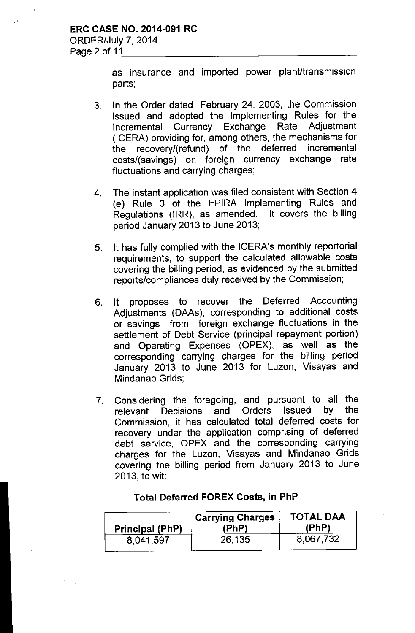as insurance and imported power plant/transmission parts;

- 3. In the Order dated February 24, 2003, the Commission issued and adopted the Implementing Rules for the Incremental Currency Exchange Rate Adjustment (ICERA) providing for, among others, the mechanisms for the recovery/(refund) of the deferred incremental costs/(savings) on foreign currency exchange rate fluctuations and carrying charges;
- 4. The instant application was filed consistent with Section 4 (e) Rule 3 of the EPIRA Implementing Rules and Regulations (IRR), as amended. It covers the billing period January 2013 to June 2013;
- 5. It has fully complied with the ICERA's monthly reportorial requirements, to support the calculated allowable costs covering the billing period, as evidenced by the submitted reports/compliances duly received by the Commission;
- 6. It proposes to recover the Deferred Accounting Adjustments (DAAs), corresponding to additional costs or savings from foreign exchange fluctuations in the settlement of Debt Service (principal repayment portion) and Operating Expenses (OPEX), as well as the corresponding carrying charges for the billing period January 2013 to June 2013 for Luzon, Visayas and Mindanao Grids;
- 7. Considering the foregoing, and pursuant to all the relevant Decisions and Orders issued by the Commission, it has calculated total deferred costs for recovery under the application comprising of deferred debt service, OPEX and the corresponding carrying charges for the Luzon, Visayas and Mindanao Grids covering the billing period from January 2013 to June 2013, to wit:

| Principal (PhP) | <b>Carrying Charges</b><br>(PhP) | <b>TOTAL DAA</b><br>(PhP) |
|-----------------|----------------------------------|---------------------------|
| 8,041,597       | 26,135                           | 8,067,732                 |

#### Total Deferred FOREX Costs, in PhP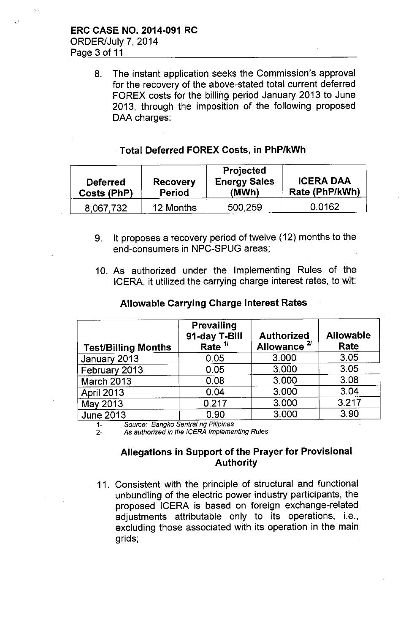8. The instant application seeks the Commission's approval for the recovery of the above-stated total current deferred FOREX costs for the billing period January 2013 to June 2013, through the imposition of the following proposed DAA charges:

## . Total Deferred FOREX Costs, in PhP/kWh

| <b>Deferred</b><br>Costs (PhP) | <b>Recovery</b><br>Period | <b>Projected</b><br><b>Energy Sales</b><br>(MWh) | <b>ICERA DAA</b><br>Rate (PhP/kWh) |
|--------------------------------|---------------------------|--------------------------------------------------|------------------------------------|
| 8,067,732                      | 12 Months                 | 500,259                                          | 0.0162                             |

- 9. It proposes a recovery period of twelve (12) months to the end-consumers in NPC-SPUG areas;
- 10. As authorized under the Implementing Rules of the ICERA, it utilized the carrying charge interest rates, to wit:

## Allowable Carrying Charge Interest Rates

| <b>Test/Billing Months</b> | <b>Prevailing</b><br>91-day T-Bill<br>Rate $11$ | <b>Authorized</b><br>Allowance <sup>2/</sup> | <b>Allowable</b><br>Rate |
|----------------------------|-------------------------------------------------|----------------------------------------------|--------------------------|
| January 2013               | 0.05                                            | 3.000                                        | 3.05                     |
| February 2013              | 0.05                                            | 3.000                                        | 3.05                     |
| March 2013                 | 0.08                                            | 3.000                                        | 3.08                     |
| <b>April 2013</b>          | 0.04                                            | 3.000                                        | 3.04                     |
| May 2013                   | 0.217                                           | 3.000                                        | 3.217                    |
| <b>June 2013</b>           | 0.90                                            | 3.000                                        | 3.90                     |

*1- Source: Bangko Sentral ng Pilipinas*

2- As *authorized in the ICERA Implementing Rules*

## Allegations in Support of the Prayer for Provisional Authority

11. Consistent with the principle of structural and functional unbundling of the electric power industry participants, the proposed ICERA is based on foreign exchange-related adjustments attributable only to its operations, i.e., excluding those associated with its operation in the main grids;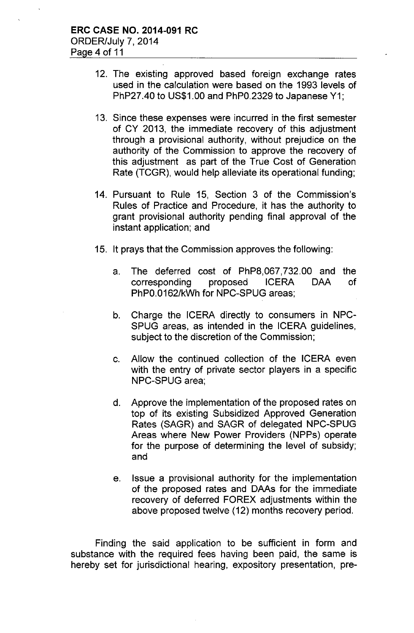- 12. The existing approved based foreign exchange rates used in the calculation were based on the 1993 levels of PhP27.40 to US\$1.00 and PhPO.2329 to Japanese Y1;
- 13. Since these expenses were incurred in the first semester of CY 2013, the immediate recovery of this adjustment through a provisional authority, without prejudice on the authority of the Commission to approve the recovery of this adjustment as part of the True Cost of Generation Rate (TCGR), would help alleviate its operational funding;
- 14. Pursuant to Rule 15, Section 3 of the Commission's Rules of Practice and Procedure, it has the authority to grant provisional authority pending final approval of the instant application; and
- 15. It prays that the Commission approves the following:
	- a. The deferred cost of PhP8,067,732.00 and the corresponding proposed ICERA DAA of PhPO.0162/kWh for NPC-SPUG areas;
	- b. Charge the ICERA directly to consumers in NPC-SPUG areas, as intended in the ICERA guidelines, subject to the discretion of the Commission;
	- c. Allow the continued collection of the ICERA even with the entry of private sector players in a specific NPC-SPUG area;
	- d. Approve the implementation of the proposed rates on top of its existing Subsidized Approved Generation Rates (SAGR) and SAGR of delegated NPC-SPUG Areas where New Power Providers (NPPs) operate for the purpose of determining the level of subsidy; and
	- e. Issue a provisional authority for the implementation of the proposed rates and DAAs for the immediate recovery of deferred FOREX adjustments within the above proposed twelve (12) months recovery period.

Finding the said application to be sufficient in form and substance with the required fees having been paid, the same is hereby set for jurisdictional hearing, expository presentation, pre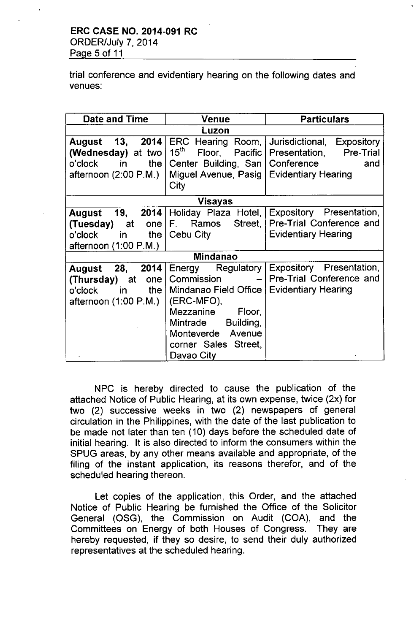trial conference and evidentiary hearing on the following dates and venues:

| <b>Date and Time</b>            | Venue                                 | <b>Particulars</b>         |
|---------------------------------|---------------------------------------|----------------------------|
| Luzon                           |                                       |                            |
| August 13, 2014                 | ERC Hearing Room,                     | Jurisdictional, Expository |
| (Wednesday) at two              | $15^{\text{th}}$<br>Floor,<br>Pacific | Presentation, Pre-Trial    |
| o'clock in<br>the               | Center Building, San                  | Conference<br>and          |
| afternoon $(2:00 \text{ P.M.})$ | Miguel Avenue, Pasig                  | <b>Evidentiary Hearing</b> |
|                                 | City                                  |                            |
| Visayas                         |                                       |                            |
| August 19,                      | 2014   Holiday Plaza Hotel,           | Expository Presentation,   |
| (Tuesday) at                    | one   F. Ramos Street,                | Pre-Trial Conference and   |
| o'clock                         | in the $\vert$ Cebu City              | <b>Evidentiary Hearing</b> |
| afternoon (1:00 P.M.)           |                                       |                            |
|                                 | <b>Mindanao</b>                       |                            |
| 28.<br>2014<br>August           | Energy Regulatory                     | Expository Presentation,   |
| (Thursday) at<br>one            | Commission<br>$-1$                    | Pre-Trial Conference and   |
| the<br>in l<br>o'clock          | Mindanao Field Office                 | <b>Evidentiary Hearing</b> |
| afternoon $(1:00 \text{ P.M.})$ | (ERC-MFO),                            |                            |
|                                 | Mezzanine<br>Floor,                   |                            |
|                                 | Mintrade<br>Building,                 |                            |
|                                 | Monteverde Avenue                     |                            |
|                                 | corner Sales Street,                  |                            |
|                                 | Davao City                            |                            |

NPC is hereby directed to cause the publication of the attached Notice of Public Hearing, at its own expense, twice (2x) for two (2) successive weeks in two (2) newspapers of general circulation in the Philippines, with the date of the last publication to be made not later than ten (10) days before the scheduled date of initial hearing. It is also directed to inform the consumers within the SPUG areas, by any other means available and appropriate, of the filing of the instant application, its reasons therefor, and of the scheduled hearing thereon.

Let copies of the application, this Order, and the attached Notice of Public Hearing be furnished the Office of the Solicitor General (OSG), the Commission on Audit (COA), and the Committees on Energy of both Houses of Congress. They are hereby requested, if they so desire, to send their duly authorized representatives at the scheduled hearing.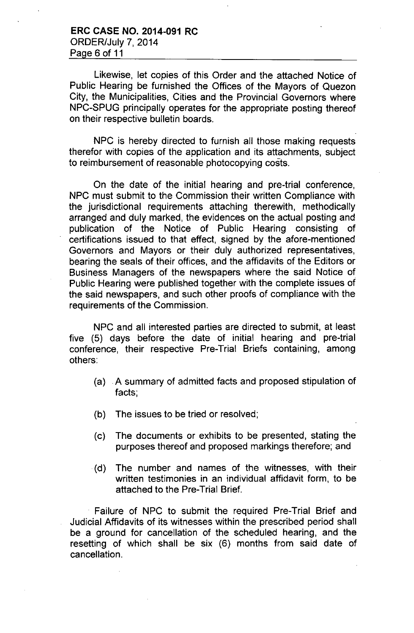Likewise, let copies of this Order and the attached Notice of Public Hearing be furnished the Offices of the Mayors of Quezon City, the Municipalities, Cities and the Provincial Governors where NPC-SPUG principally operates for the appropriate posting thereof on their respective bulletin boards.

NPC is hereby directed to furnish all those making requests therefor with copies of the application and its attachments, subject to reimbursement of reasonable photocopying costs.

On the date of the initial hearing and pre-trial conference, NPC must submit to the Commission their written Compliance with the jurisdictional requirements attaching therewith, methodically arranged and duly marked, the evidences on the actual posting and publication of the Notice of Public Hearing consisting of certifications issued to that effect, signed by the afore-mentioned Governors and Mayors or their duly authorized representatives, bearing the seals of their offices, and the affidavits of the Editors or Business Managers of the newspapers where the said Notice of Public Hearing were published together with the complete issues of the said newspapers, and such other proofs of compliance with the requirements of the Commission.

NPC and all interested parties are directed to submit, at least five (5) days before the date of initial hearing and pre-trial conference, their respective Pre-Trial Briefs containing, among others:

- (a) .A summary of admitted facts and proposed stipulation of facts;
- (b) The issues to be tried or resolved;
- (c) The documents or exhibits to be presented, stating the purposes thereof and proposed markings therefore; and
- .(d) The number and names of the witnesses, with their written testimonies in an individual affidavit form, to be attached to the Pre-Trial Brief.

Failure of NPC to submit the required Pre-Trial Brief and Judicial Affidavits of its witnesses within the prescribed period shall be a ground for cancellation of the scheduled hearing, and the resetting of which shall be six (6) months from said date of cancellation.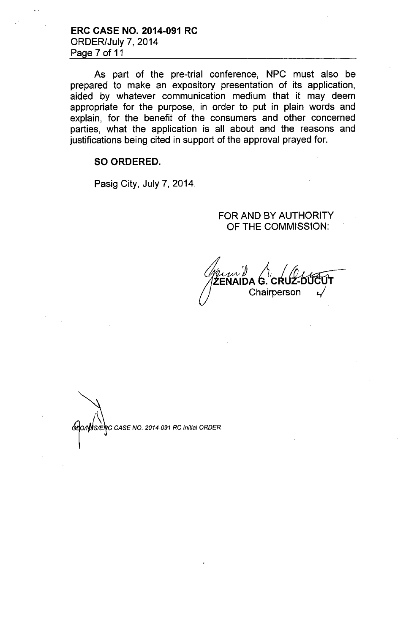**ERC CASE NO. 2014-091 RC** ORDER/July 7, 2014 Page 7 of 11

As part of the pre-trial conference, NPC must also be prepared to make an expository presentation of its application, aided by whatever communication medium that it may deem appropriate for the purpose, in order to put in plain words and explain, for the benefit of the consumers and other concerned parties, what the application is all about and the reasons and justifications being cited in support of the approval prayed for.

#### **SO ORDERED.**

Pasig City, July 7, 2014.

### FOR AND BY AUTHORITY OF THE COMMISSION:

Chairperson

 $\sqrt{\text{S/ER}}$ C CASE NO. 2014-091 RC Initial ORDER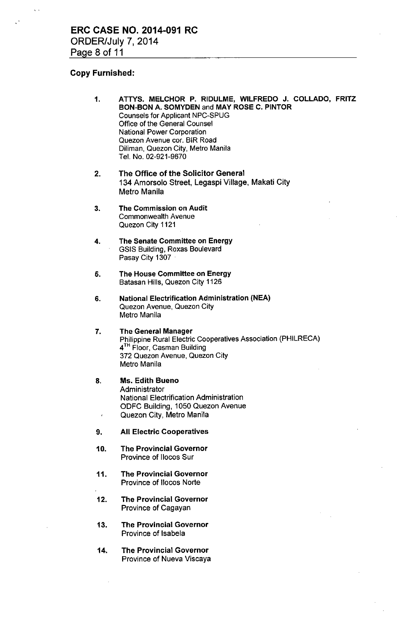## Copy Furnished:

 $\ddot{\phantom{a}}$ 

| 1.                       | ATTYS. MELCHOR P. RIDULME, WILFREDO J. COLLADO, FRITZ<br>BON-BON A, SOMYDEN and MAY ROSE C. PINTOR<br><b>Counsels for Applicant NPC-SPUG</b><br>Office of the General Counsel<br>National Power Corporation<br>Quezon Avenue cor. BIR Road<br>Diliman, Quezon City, Metro Manila<br>Tel. No. 02-921-9670 |
|--------------------------|----------------------------------------------------------------------------------------------------------------------------------------------------------------------------------------------------------------------------------------------------------------------------------------------------------|
| 2.                       | The Office of the Solicitor General<br>134 Amorsolo Street, Legaspi Village, Makati City<br>Metro Manila                                                                                                                                                                                                 |
| 3.                       | The Commission on Audit<br><b>Commonwealth Avenue</b><br>Quezon City 1121                                                                                                                                                                                                                                |
| 4.                       | The Senate Committee on Energy<br><b>GSIS Building, Roxas Boulevard</b><br>Pasay City 1307                                                                                                                                                                                                               |
| 5.                       | The House Committee on Energy<br>Batasan Hills, Quezon City 1126                                                                                                                                                                                                                                         |
| 6.                       | <b>National Electrification Administration (NEA)</b><br>Quezon Avenue, Quezon City<br>Metro Manila                                                                                                                                                                                                       |
| 7.                       | <b>The General Manager</b><br><b>Philippine Rural Electric Cooperatives Association (PHILRECA)</b><br>4 <sup>TH</sup> Floor, Casman Building<br>372 Quezon Avenue, Quezon City<br>Metro Manila                                                                                                           |
| 8.<br>$\pmb{\mathit{i}}$ | <b>Ms. Edith Bueno</b><br>Administrator<br><b>National Electrification Administration</b><br>ODFC Building, 1050 Quezon Avenue<br>Quezon City, Metro Manila                                                                                                                                              |
| 9.                       | <b>All Electric Cooperatives</b>                                                                                                                                                                                                                                                                         |
| 10.                      | <b>The Provincial Governor</b><br>Province of Ilocos Sur                                                                                                                                                                                                                                                 |
| 11.                      | <b>The Provincial Governor</b><br><b>Province of Ilocos Norte</b>                                                                                                                                                                                                                                        |
| 12.                      | <b>The Provincial Governor</b><br>Province of Cagayan                                                                                                                                                                                                                                                    |
| 13.                      | <b>The Provincial Governor</b><br>Province of Isabela                                                                                                                                                                                                                                                    |
| 14.                      | <b>The Provincial Governor</b><br>Province of Nueva Viscaya                                                                                                                                                                                                                                              |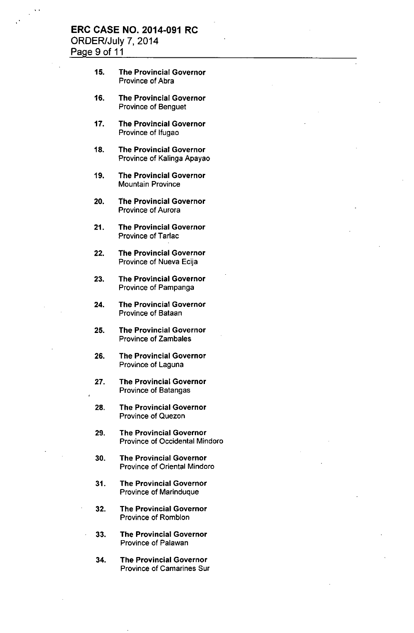### **ERC CASE NO. 2014-091 RC** ORDER/July 7, 2014 Page 9 of 11

- 15. The Provincial Governor Province of Abra
- 16. The Provincial Governor Province of Benguet
- 17. The Provincial Governor Province of Ifugao
- 18. The Provincial Governor Province of Kalinga Apayao
- 19. The Provincial Governor Mountain Province
- 20. The Provincial Governor Province of Aurora
- 21. The Provincial Governor Province of Tarlac
- 22. The Provincial Governor Province of Nueva Ecija
- 23. The Provincial Governor Province of Pampanga
- 24. The Provincial Governor Province of Bataan
- 25. The Provincial Governor Province of Zambales
- 26. The Provincial Governor Province of Laguna
- 27. The Provincial Governor Province of Batangas
- 28. The Provincial Governor Province of Quezon
- 29. The Provincial Governor Province of Occidental Mindoro
- 30. The Provincial Governor Province of Oriental Mindoro
- 31. The Provincial Governor Province of Marinduque
- 32. The Provincial Governor Province of Romblon
- 33. The Provincial Governor Province of Palawan
- 34. The Provincial Governor Province of Camarines Sur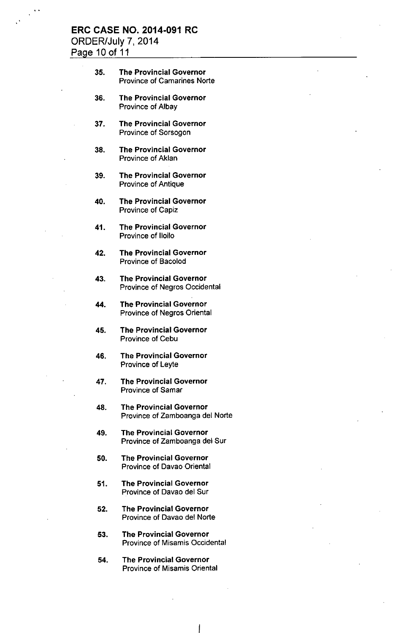# ERC CASE NO. 2014-091 RC ORDER/July 7, 2014

Page 10 of 11

35. The Provincial Governor Province of Camarines Norte 36. The Provincial Governor Province of Albay 37. The Provincial Governor Province of Sorsogon 38. The Provincial Governor Province of Aklan 39. The Provincial Governor Province of Antique 40. The Provincial Governor Province of Capiz 41. The Provincial Governor Province of Iloilo 42. The Provincial Governor Province of Bacolod 43. The Provincial Governor Province of Negros Occidental 44. The Provincial Governor Province of Negros Oriental 45. The Provincial Governor Province of Cebu 46. The Provincial Governor Province of Leyte 47. The Provincial Governor Province of Samar 48. The Provincial Governor Province of Zamboanga del Norte 49. The Provincial Governor Province of Zamboanga del Sur 50. The Provincial Governor Province of Davao Oriental 51. The Provincial Governor Province of Davao del Sur 52. The Provincial Governor Province of Davao del Norte 53. The Provincial Governor Province of Misamis Occidental 54. The Provincial Governor Province of Misamis Oriental